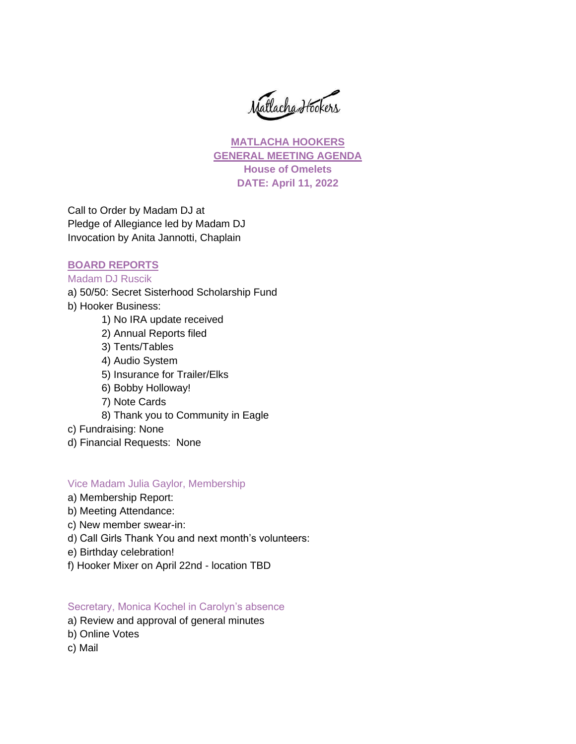Matlacha Hookers

**MATLACHA HOOKERS GENERAL MEETING AGENDA House of Omelets DATE: April 11, 2022**

Call to Order by Madam DJ at Pledge of Allegiance led by Madam DJ Invocation by Anita Jannotti, Chaplain

## **BOARD REPORTS**

# Madam DJ Ruscik

- a) 50/50: Secret Sisterhood Scholarship Fund
- b) Hooker Business:
	- 1) No IRA update received
	- 2) Annual Reports filed
	- 3) Tents/Tables
	- 4) Audio System
	- 5) Insurance for Trailer/Elks
	- 6) Bobby Holloway!
	- 7) Note Cards
	- 8) Thank you to Community in Eagle
- c) Fundraising: None
- d) Financial Requests: None

### Vice Madam Julia Gaylor, Membership

- a) Membership Report:
- b) Meeting Attendance:
- c) New member swear-in:
- d) Call Girls Thank You and next month's volunteers:
- e) Birthday celebration!
- f) Hooker Mixer on April 22nd location TBD

### Secretary, Monica Kochel in Carolyn's absence

- a) Review and approval of general minutes
- b) Online Votes
- c) Mail